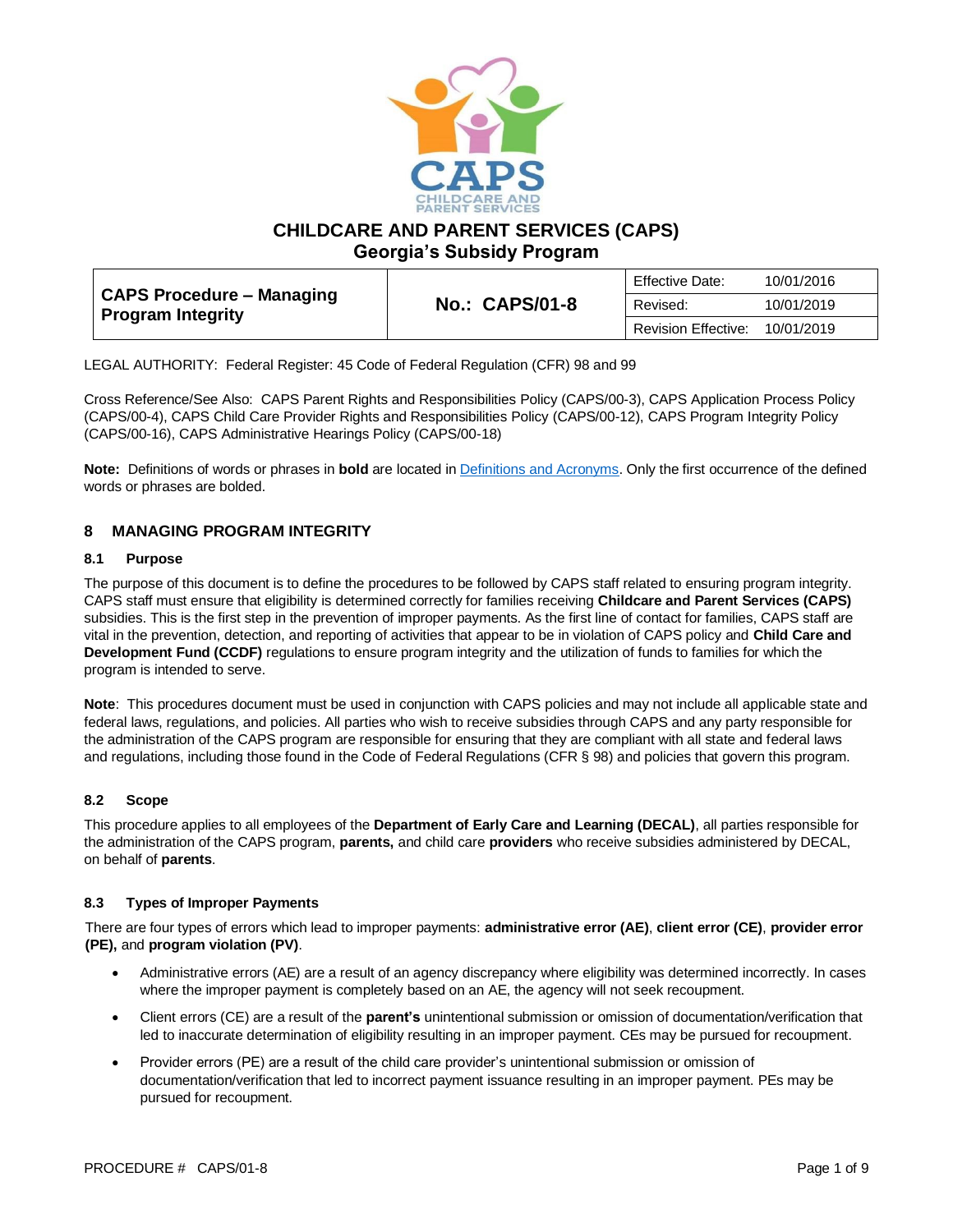

**CHILDCARE AND PARENT SERVICES (CAPS)**

**Georgia's Subsidy Program**

| CAPS Procedure – Managing<br><b>Program Integrity</b> |                       | Effective Date:<br>10/01/2016 |            |
|-------------------------------------------------------|-----------------------|-------------------------------|------------|
|                                                       | <b>No.: CAPS/01-8</b> | Revised:                      | 10/01/2019 |
|                                                       |                       | Revision Effective:           | 10/01/2019 |

LEGAL AUTHORITY: Federal Register: 45 Code of Federal Regulation (CFR) 98 and 99

Cross Reference/See Also: CAPS Parent Rights and Responsibilities Policy (CAPS/00-3), CAPS Application Process Policy (CAPS/00-4), CAPS Child Care Provider Rights and Responsibilities Policy (CAPS/00-12), CAPS Program Integrity Policy (CAPS/00-16), CAPS Administrative Hearings Policy (CAPS/00-18)

**Note:** Definitions of words or phrases in **bold** are located i[n Definitions and Acronyms.](https://caps.decal.ga.gov/assets/downloads/CAPS/02-CAPS_Policy-Definitions%20and%20Acronyms.pdf) Only the first occurrence of the defined words or phrases are bolded.

# **8 MANAGING PROGRAM INTEGRITY**

## **8.1 Purpose**

The purpose of this document is to define the procedures to be followed by CAPS staff related to ensuring program integrity. CAPS staff must ensure that eligibility is determined correctly for families receiving **Childcare and Parent Services (CAPS)** subsidies. This is the first step in the prevention of improper payments. As the first line of contact for families, CAPS staff are vital in the prevention, detection, and reporting of activities that appear to be in violation of CAPS policy and **Child Care and Development Fund (CCDF)** regulations to ensure program integrity and the utilization of funds to families for which the program is intended to serve.

**Note**: This procedures document must be used in conjunction with CAPS policies and may not include all applicable state and federal laws, regulations, and policies. All parties who wish to receive subsidies through CAPS and any party responsible for the administration of the CAPS program are responsible for ensuring that they are compliant with all state and federal laws and regulations, including those found in the Code of Federal Regulations (CFR § 98) and policies that govern this program.

# **8.2 Scope**

This procedure applies to all employees of the **Department of Early Care and Learning (DECAL)**, all parties responsible for the administration of the CAPS program, **parents,** and child care **providers** who receive subsidies administered by DECAL, on behalf of **parents**.

## **8.3 Types of Improper Payments**

There are four types of errors which lead to improper payments: **administrative error (AE)**, **client error (CE)**, **provider error (PE),** and **program violation (PV)**.

- Administrative errors (AE) are a result of an agency discrepancy where eligibility was determined incorrectly. In cases where the improper payment is completely based on an AE, the agency will not seek recoupment.
- Client errors (CE) are a result of the **parent's** unintentional submission or omission of documentation/verification that led to inaccurate determination of eligibility resulting in an improper payment. CEs may be pursued for recoupment.
- Provider errors (PE) are a result of the child care provider's unintentional submission or omission of documentation/verification that led to incorrect payment issuance resulting in an improper payment. PEs may be pursued for recoupment.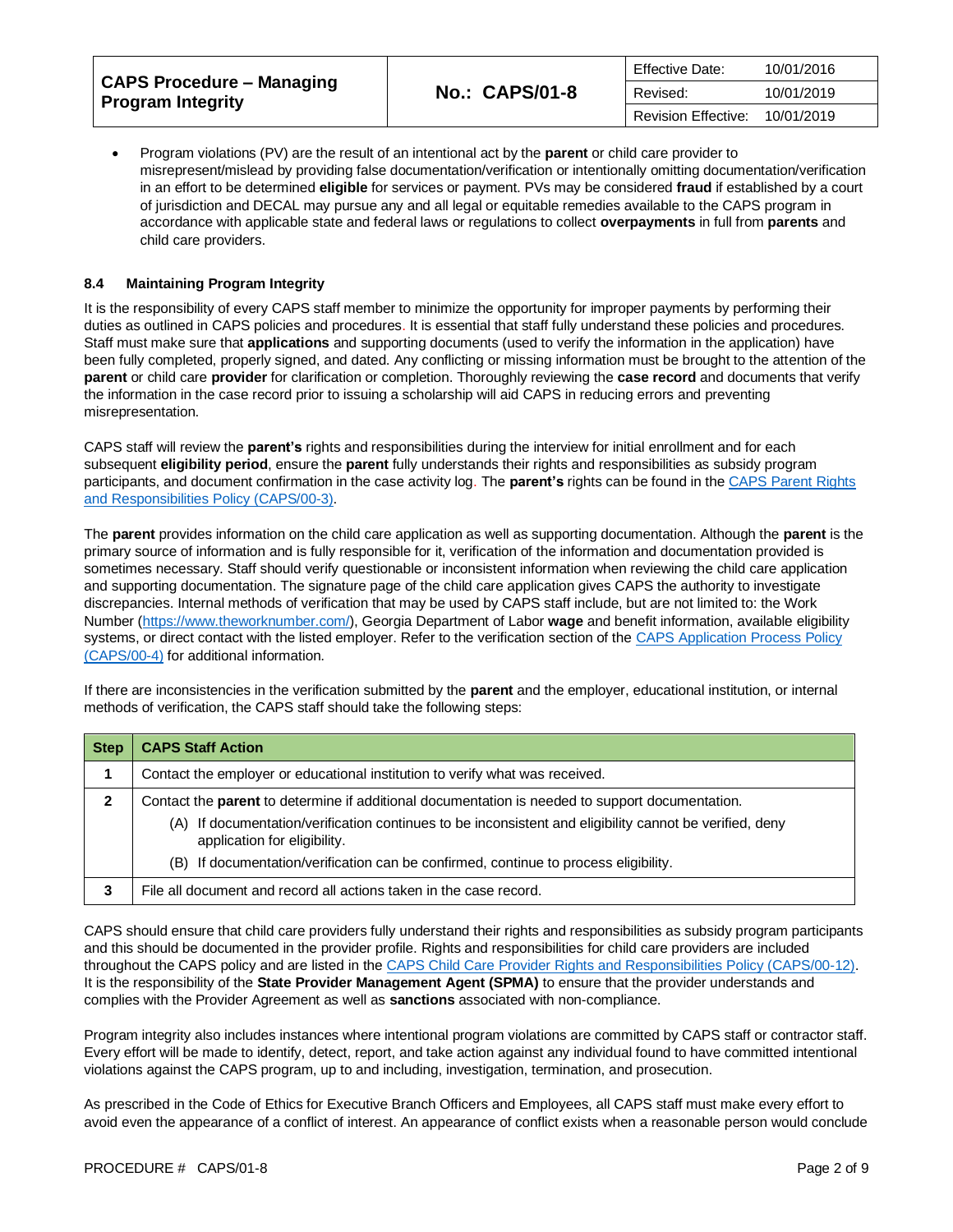| <b>CAPS Procedure – Managing</b><br><b>Program Integrity</b> |                       | <b>Effective Date:</b><br>10/01/2016 |            |
|--------------------------------------------------------------|-----------------------|--------------------------------------|------------|
|                                                              | <b>No.: CAPS/01-8</b> | Revised:                             | 10/01/2019 |
|                                                              |                       | Revision Effective:                  | 10/01/2019 |

• Program violations (PV) are the result of an intentional act by the **parent** or child care provider to misrepresent/mislead by providing false documentation/verification or intentionally omitting documentation/verification in an effort to be determined **eligible** for services or payment. PVs may be considered **fraud** if established by a court of jurisdiction and DECAL may pursue any and all legal or equitable remedies available to the CAPS program in accordance with applicable state and federal laws or regulations to collect **overpayments** in full from **parents** and child care providers.

## **8.4 Maintaining Program Integrity**

It is the responsibility of every CAPS staff member to minimize the opportunity for improper payments by performing their duties as outlined in CAPS policies and procedures. It is essential that staff fully understand these policies and procedures. Staff must make sure that **applications** and supporting documents (used to verify the information in the application) have been fully completed, properly signed, and dated. Any conflicting or missing information must be brought to the attention of the **parent** or child care **provider** for clarification or completion. Thoroughly reviewing the **case record** and documents that verify the information in the case record prior to issuing a scholarship will aid CAPS in reducing errors and preventing misrepresentation.

CAPS staff will review the **parent's** rights and responsibilities during the interview for initial enrollment and for each subsequent **eligibility period**, ensure the **parent** fully understands their rights and responsibilities as subsidy program participants, and document confirmation in the case activity log. The **parent's** rights can be found in the [CAPS Parent Rights](https://caps.decal.ga.gov/assets/downloads/CAPS/03-CAPS_Policy-Parental%20Authority%20Rights%20&%20Responsibilities.pdf)  [and Responsibilities Policy \(CAPS/00-3\).](https://caps.decal.ga.gov/assets/downloads/CAPS/03-CAPS_Policy-Parental%20Authority%20Rights%20&%20Responsibilities.pdf)

The **parent** provides information on the child care application as well as supporting documentation. Although the **parent** is the primary source of information and is fully responsible for it, verification of the information and documentation provided is sometimes necessary. Staff should verify questionable or inconsistent information when reviewing the child care application and supporting documentation. The signature page of the child care application gives CAPS the authority to investigate discrepancies. Internal methods of verification that may be used by CAPS staff include, but are not limited to: the Work Number [\(https://www.theworknumber.com/\)](https://www.theworknumber.com/), Georgia Department of Labor **wage** and benefit information, available eligibility systems, or direct contact with the listed employer. Refer to the verification section of th[e CAPS Application Process Policy](https://caps.decal.ga.gov/assets/downloads/CAPS/04-CAPS_Policy-Application%20Process.pdf)  [\(CAPS/00-4\)](https://caps.decal.ga.gov/assets/downloads/CAPS/04-CAPS_Policy-Application%20Process.pdf) for additional information.

If there are inconsistencies in the verification submitted by the **parent** and the employer, educational institution, or internal methods of verification, the CAPS staff should take the following steps:

| <b>Step</b> | <b>CAPS Staff Action</b>                                                                                                                                                                                                                                                                                                              |  |
|-------------|---------------------------------------------------------------------------------------------------------------------------------------------------------------------------------------------------------------------------------------------------------------------------------------------------------------------------------------|--|
|             | Contact the employer or educational institution to verify what was received.                                                                                                                                                                                                                                                          |  |
| 2           | Contact the parent to determine if additional documentation is needed to support documentation.<br>If documentation/verification continues to be inconsistent and eligibility cannot be verified, deny<br>(A)<br>application for eligibility.<br>(B) If documentation/verification can be confirmed, continue to process eligibility. |  |
|             | File all document and record all actions taken in the case record.                                                                                                                                                                                                                                                                    |  |

CAPS should ensure that child care providers fully understand their rights and responsibilities as subsidy program participants and this should be documented in the provider profile. Rights and responsibilities for child care providers are included throughout the CAPS policy and are listed in the [CAPS Child Care Provider Rights and Responsibilities Policy \(CAPS/00-12\).](https://caps.decal.ga.gov/assets/downloads/CAPS/12-CAPS_Policy-Child%20Care%20Provider%20Rights%20&%20Responsibilities.pdf)  It is the responsibility of the **State Provider Management Agent (SPMA)** to ensure that the provider understands and complies with the Provider Agreement as well as **sanctions** associated with non-compliance.

Program integrity also includes instances where intentional program violations are committed by CAPS staff or contractor staff. Every effort will be made to identify, detect, report, and take action against any individual found to have committed intentional violations against the CAPS program, up to and including, investigation, termination, and prosecution.

As prescribed in the Code of Ethics for Executive Branch Officers and Employees, all CAPS staff must make every effort to avoid even the appearance of a conflict of interest. An appearance of conflict exists when a reasonable person would conclude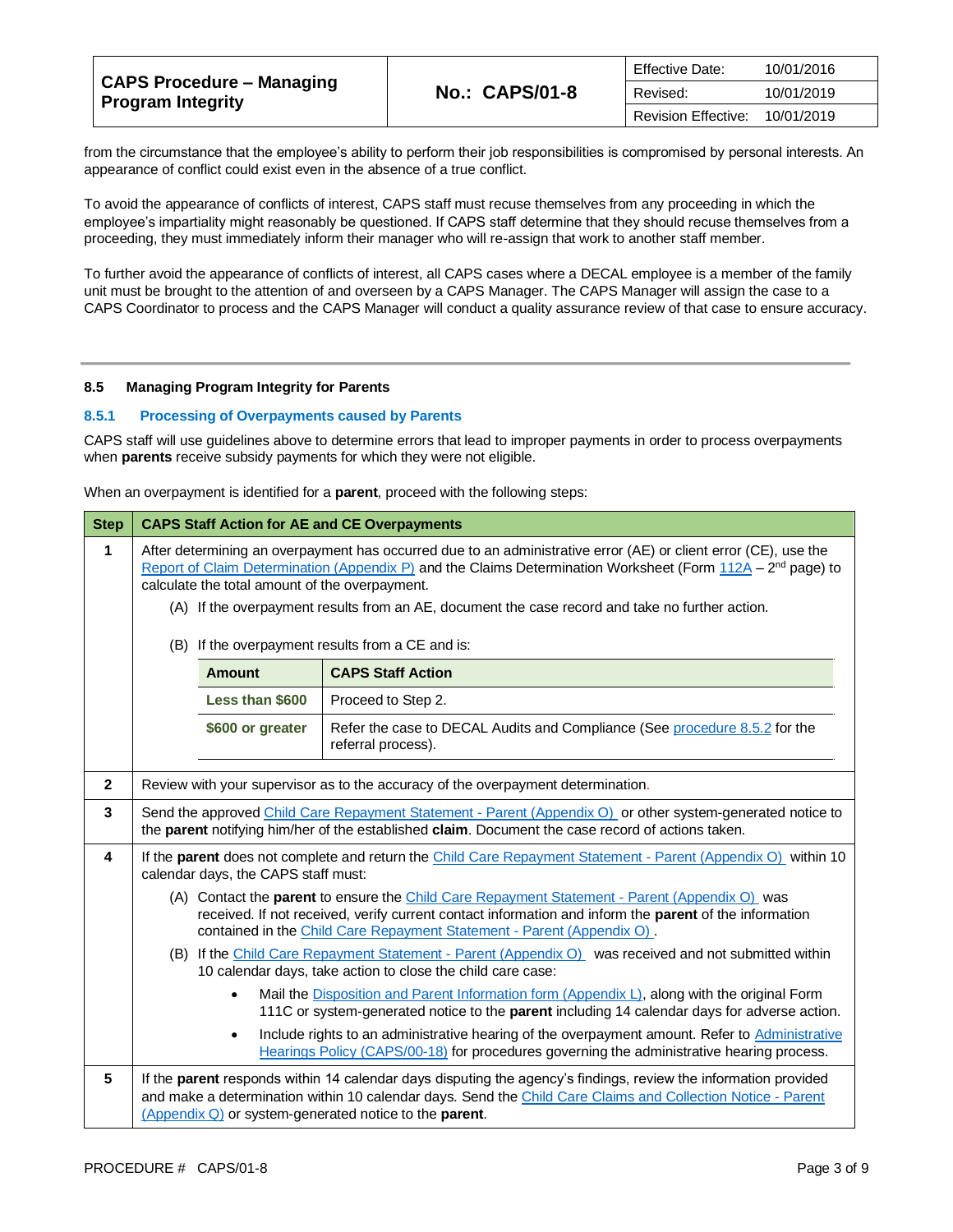| <b>CAPS Procedure - Managing</b><br><b>Program Integrity</b> |                       | <b>Effective Date:</b><br>10/01/2016 |            |
|--------------------------------------------------------------|-----------------------|--------------------------------------|------------|
|                                                              | <b>No.: CAPS/01-8</b> | Revised:                             | 10/01/2019 |
|                                                              |                       | Revision Effective:                  | 10/01/2019 |

from the circumstance that the employee's ability to perform their job responsibilities is compromised by personal interests. An appearance of conflict could exist even in the absence of a true conflict.

To avoid the appearance of conflicts of interest, CAPS staff must recuse themselves from any proceeding in which the employee's impartiality might reasonably be questioned. If CAPS staff determine that they should recuse themselves from a proceeding, they must immediately inform their manager who will re-assign that work to another staff member.

To further avoid the appearance of conflicts of interest, all CAPS cases where a DECAL employee is a member of the family unit must be brought to the attention of and overseen by a CAPS Manager. The CAPS Manager will assign the case to a CAPS Coordinator to process and the CAPS Manager will conduct a quality assurance review of that case to ensure accuracy.

#### **8.5 Managing Program Integrity for Parents**

## **8.5.1 Processing of Overpayments caused by Parents**

CAPS staff will use guidelines above to determine errors that lead to improper payments in order to process overpayments when **parents** receive subsidy payments for which they were not eligible.

When an overpayment is identified for a **parent**, proceed with the following steps:

| <b>Step</b>  | <b>CAPS Staff Action for AE and CE Overpayments</b>                                                                                                                                                                                                                                                                                                                                                                                          |                  |                                                                                                  |
|--------------|----------------------------------------------------------------------------------------------------------------------------------------------------------------------------------------------------------------------------------------------------------------------------------------------------------------------------------------------------------------------------------------------------------------------------------------------|------------------|--------------------------------------------------------------------------------------------------|
| 1            | After determining an overpayment has occurred due to an administrative error (AE) or client error (CE), use the<br>Report of Claim Determination (Appendix P) and the Claims Determination Worksheet (Form $112A - 2^{nd}$ page) to<br>calculate the total amount of the overpayment.<br>(A) If the overpayment results from an AE, document the case record and take no further action.<br>(B) If the overpayment results from a CE and is: |                  |                                                                                                  |
|              |                                                                                                                                                                                                                                                                                                                                                                                                                                              | <b>Amount</b>    | <b>CAPS Staff Action</b>                                                                         |
|              |                                                                                                                                                                                                                                                                                                                                                                                                                                              | Less than \$600  | Proceed to Step 2.                                                                               |
|              |                                                                                                                                                                                                                                                                                                                                                                                                                                              | \$600 or greater | Refer the case to DECAL Audits and Compliance (See procedure 8.5.2 for the<br>referral process). |
| $\mathbf{2}$ |                                                                                                                                                                                                                                                                                                                                                                                                                                              |                  | Review with your supervisor as to the accuracy of the overpayment determination.                 |
| 3            | Send the approved Child Care Repayment Statement - Parent (Appendix O) or other system-generated notice to<br>the parent notifying him/her of the established claim. Document the case record of actions taken.                                                                                                                                                                                                                              |                  |                                                                                                  |
| 4            | If the parent does not complete and return the Child Care Repayment Statement - Parent (Appendix O) within 10<br>calendar days, the CAPS staff must:                                                                                                                                                                                                                                                                                         |                  |                                                                                                  |
|              | (A) Contact the parent to ensure the Child Care Repayment Statement - Parent (Appendix O) was<br>received. If not received, verify current contact information and inform the parent of the information<br>contained in the Child Care Repayment Statement - Parent (Appendix O).                                                                                                                                                            |                  |                                                                                                  |
|              | (B) If the Child Care Repayment Statement - Parent (Appendix O) was received and not submitted within<br>10 calendar days, take action to close the child care case:                                                                                                                                                                                                                                                                         |                  |                                                                                                  |
|              | Mail the Disposition and Parent Information form (Appendix L), along with the original Form<br>$\bullet$<br>111C or system-generated notice to the parent including 14 calendar days for adverse action.                                                                                                                                                                                                                                     |                  |                                                                                                  |
|              | Include rights to an administrative hearing of the overpayment amount. Refer to Administrative<br>$\bullet$<br>Hearings Policy (CAPS/00-18) for procedures governing the administrative hearing process.                                                                                                                                                                                                                                     |                  |                                                                                                  |
| 5            | If the parent responds within 14 calendar days disputing the agency's findings, review the information provided<br>and make a determination within 10 calendar days. Send the Child Care Claims and Collection Notice - Parent<br>(Appendix Q) or system-generated notice to the parent.                                                                                                                                                     |                  |                                                                                                  |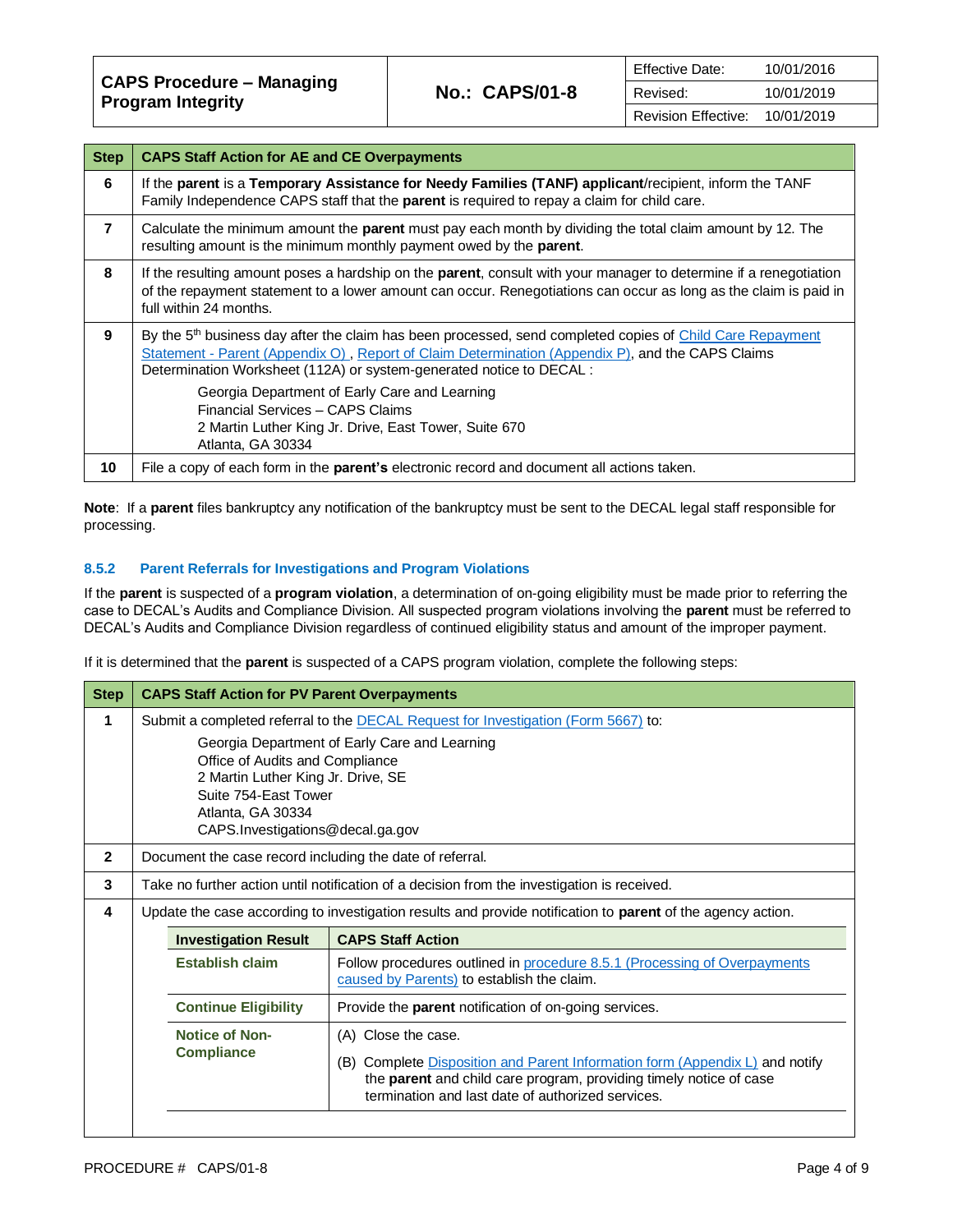**CAPS Procedure – Managing Program Integrity No.: CAPS/01-8**

| <b>Step</b>    | <b>CAPS Staff Action for AE and CE Overpayments</b>                                                                                                                                                                                                                                               |
|----------------|---------------------------------------------------------------------------------------------------------------------------------------------------------------------------------------------------------------------------------------------------------------------------------------------------|
| 6              | If the parent is a Temporary Assistance for Needy Families (TANF) applicant/recipient, inform the TANF<br>Family Independence CAPS staff that the parent is required to repay a claim for child care.                                                                                             |
| $\overline{7}$ | Calculate the minimum amount the parent must pay each month by dividing the total claim amount by 12. The<br>resulting amount is the minimum monthly payment owed by the <b>parent</b> .                                                                                                          |
| 8              | If the resulting amount poses a hardship on the parent, consult with your manager to determine if a renegotiation<br>of the repayment statement to a lower amount can occur. Renegotiations can occur as long as the claim is paid in<br>full within 24 months.                                   |
| 9              | By the 5 <sup>th</sup> business day after the claim has been processed, send completed copies of Child Care Repayment<br>Statement - Parent (Appendix O), Report of Claim Determination (Appendix P), and the CAPS Claims<br>Determination Worksheet (112A) or system-generated notice to DECAL : |
|                | Georgia Department of Early Care and Learning<br>Financial Services - CAPS Claims<br>2 Martin Luther King Jr. Drive, East Tower, Suite 670<br>Atlanta, GA 30334                                                                                                                                   |
| 10             | File a copy of each form in the parent's electronic record and document all actions taken.                                                                                                                                                                                                        |

**Note**: If a **parent** files bankruptcy any notification of the bankruptcy must be sent to the DECAL legal staff responsible for processing.

# **8.5.2 Parent Referrals for Investigations and Program Violations**

If the **parent** is suspected of a **program violation**, a determination of on-going eligibility must be made prior to referring the case to DECAL's Audits and Compliance Division. All suspected program violations involving the **parent** must be referred to DECAL's Audits and Compliance Division regardless of continued eligibility status and amount of the improper payment.

If it is determined that the **parent** is suspected of a CAPS program violation, complete the following steps:

| <b>CAPS Staff Action for PV Parent Overpayments</b>                                                                                               |                                                                                                                                                                                                                                       |  |
|---------------------------------------------------------------------------------------------------------------------------------------------------|---------------------------------------------------------------------------------------------------------------------------------------------------------------------------------------------------------------------------------------|--|
| Submit a completed referral to the DECAL Request for Investigation (Form 5667) to:                                                                |                                                                                                                                                                                                                                       |  |
| Georgia Department of Early Care and Learning<br>Office of Audits and Compliance<br>2 Martin Luther King Jr. Drive, SE<br>Suite 754-East Tower    |                                                                                                                                                                                                                                       |  |
| CAPS.Investigations@decal.ga.gov                                                                                                                  |                                                                                                                                                                                                                                       |  |
| Document the case record including the date of referral.                                                                                          |                                                                                                                                                                                                                                       |  |
| Take no further action until notification of a decision from the investigation is received.                                                       |                                                                                                                                                                                                                                       |  |
| Update the case according to investigation results and provide notification to <b>parent</b> of the agency action.                                |                                                                                                                                                                                                                                       |  |
| <b>CAPS Staff Action</b><br><b>Investigation Result</b>                                                                                           |                                                                                                                                                                                                                                       |  |
| <b>Establish claim</b><br>Follow procedures outlined in procedure 8.5.1 (Processing of Overpayments<br>caused by Parents) to establish the claim. |                                                                                                                                                                                                                                       |  |
| <b>Continue Eligibility</b><br>Provide the <b>parent</b> notification of on-going services.                                                       |                                                                                                                                                                                                                                       |  |
| <b>Notice of Non-</b><br><b>Compliance</b>                                                                                                        | (A) Close the case.<br>(B) Complete Disposition and Parent Information form (Appendix L) and notify<br>the <b>parent</b> and child care program, providing timely notice of case<br>termination and last date of authorized services. |  |
|                                                                                                                                                   | Atlanta, GA 30334                                                                                                                                                                                                                     |  |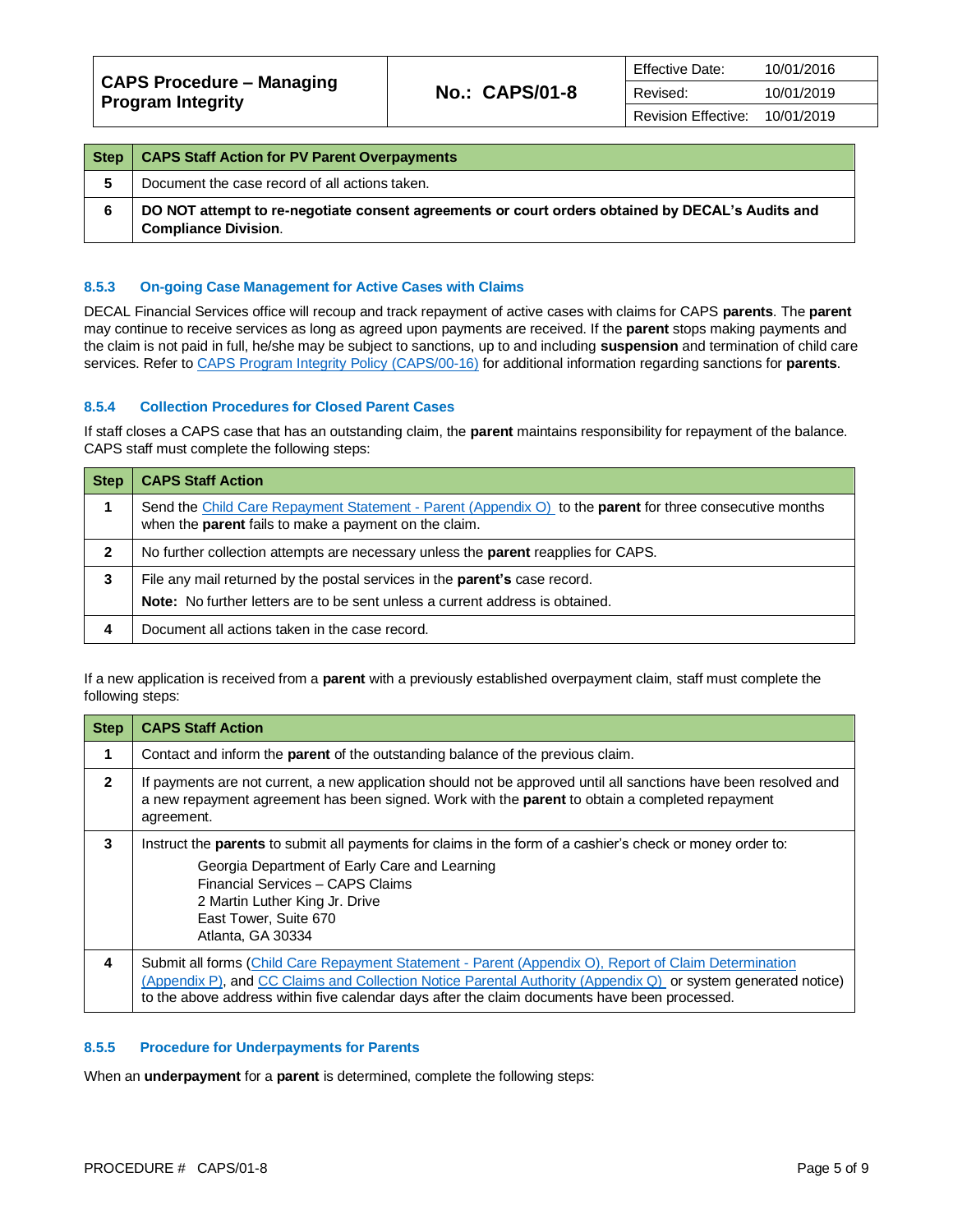| Step | <b>CAPS Staff Action for PV Parent Overpayments</b>                                                                             |
|------|---------------------------------------------------------------------------------------------------------------------------------|
|      | Document the case record of all actions taken.                                                                                  |
| 6    | DO NOT attempt to re-negotiate consent agreements or court orders obtained by DECAL's Audits and<br><b>Compliance Division.</b> |

## **8.5.3 On-going Case Management for Active Cases with Claims**

DECAL Financial Services office will recoup and track repayment of active cases with claims for CAPS **parents**. The **parent** may continue to receive services as long as agreed upon payments are received. If the **parent** stops making payments and the claim is not paid in full, he/she may be subject to sanctions, up to and including **suspension** and termination of child care services. Refer t[o CAPS Program Integrity Policy \(CAPS/00-16\)](https://caps.decal.ga.gov/assets/downloads/CAPS/16-CAPS_Policy-Program%20Integrity.pdf) for additional information regarding sanctions for **parents**.

## **8.5.4 Collection Procedures for Closed Parent Cases**

If staff closes a CAPS case that has an outstanding claim, the **parent** maintains responsibility for repayment of the balance. CAPS staff must complete the following steps:

| <b>Step</b> | <b>CAPS Staff Action</b>                                                                                                                                                  |  |
|-------------|---------------------------------------------------------------------------------------------------------------------------------------------------------------------------|--|
|             | Send the Child Care Repayment Statement - Parent (Appendix O) to the parent for three consecutive months<br>when the parent fails to make a payment on the claim.         |  |
| 2           | No further collection attempts are necessary unless the parent reapplies for CAPS.                                                                                        |  |
| 3           | File any mail returned by the postal services in the <b>parent's</b> case record.<br><b>Note:</b> No further letters are to be sent unless a current address is obtained. |  |
| 4           | Document all actions taken in the case record.                                                                                                                            |  |

If a new application is received from a **parent** with a previously established overpayment claim, staff must complete the following steps:

| <b>Step</b>  | <b>CAPS Staff Action</b>                                                                                                                                                                                                                                                                                                |
|--------------|-------------------------------------------------------------------------------------------------------------------------------------------------------------------------------------------------------------------------------------------------------------------------------------------------------------------------|
|              | Contact and inform the <b>parent</b> of the outstanding balance of the previous claim.                                                                                                                                                                                                                                  |
| $\mathbf{2}$ | If payments are not current, a new application should not be approved until all sanctions have been resolved and<br>a new repayment agreement has been signed. Work with the parent to obtain a completed repayment<br>agreement.                                                                                       |
| 3            | Instruct the <b>parents</b> to submit all payments for claims in the form of a cashier's check or money order to:<br>Georgia Department of Early Care and Learning<br>Financial Services - CAPS Claims<br>2 Martin Luther King Jr. Drive<br>East Tower, Suite 670<br>Atlanta, GA 30334                                  |
| 4            | Submit all forms (Child Care Repayment Statement - Parent (Appendix O), Report of Claim Determination<br>(Appendix P), and CC Claims and Collection Notice Parental Authority (Appendix Q) or system generated notice)<br>to the above address within five calendar days after the claim documents have been processed. |

# **8.5.5 Procedure for Underpayments for Parents**

When an **underpayment** for a **parent** is determined, complete the following steps: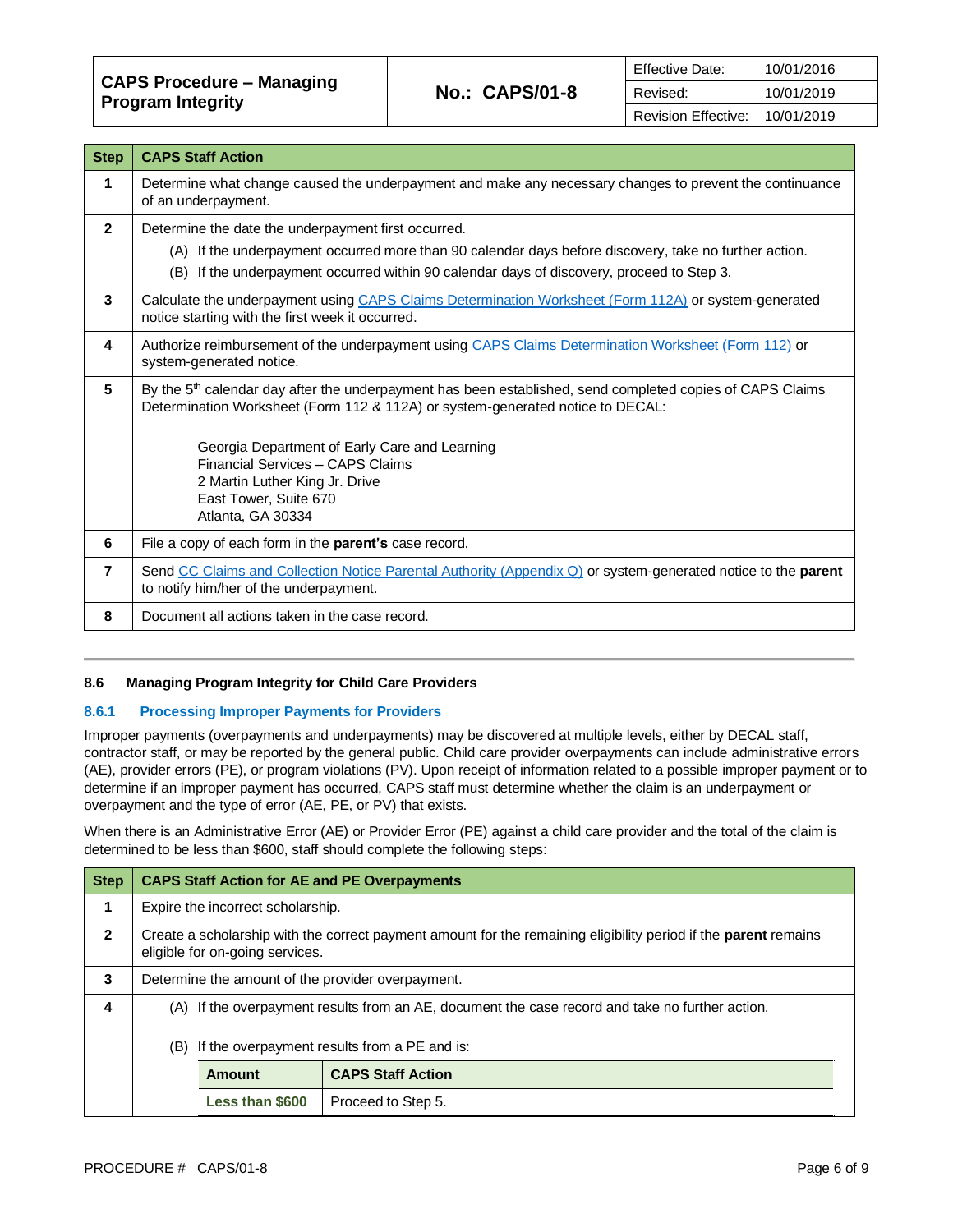**CAPS Procedure – Managing Program Integrity No.: CAPS/01-8**

| <b>Step</b>  | <b>CAPS Staff Action</b>                                                                                                                                                                                                                                                                                                                                                     |
|--------------|------------------------------------------------------------------------------------------------------------------------------------------------------------------------------------------------------------------------------------------------------------------------------------------------------------------------------------------------------------------------------|
| 1            | Determine what change caused the underpayment and make any necessary changes to prevent the continuance<br>of an underpayment.                                                                                                                                                                                                                                               |
| $\mathbf{2}$ | Determine the date the underpayment first occurred.<br>(A) If the underpayment occurred more than 90 calendar days before discovery, take no further action.<br>(B) If the underpayment occurred within 90 calendar days of discovery, proceed to Step 3.                                                                                                                    |
| 3            | Calculate the underpayment using CAPS Claims Determination Worksheet (Form 112A) or system-generated<br>notice starting with the first week it occurred.                                                                                                                                                                                                                     |
| 4            | Authorize reimbursement of the underpayment using CAPS Claims Determination Worksheet (Form 112) or<br>system-generated notice.                                                                                                                                                                                                                                              |
| 5            | By the 5 <sup>th</sup> calendar day after the underpayment has been established, send completed copies of CAPS Claims<br>Determination Worksheet (Form 112 & 112A) or system-generated notice to DECAL:<br>Georgia Department of Early Care and Learning<br>Financial Services - CAPS Claims<br>2 Martin Luther King Jr. Drive<br>East Tower, Suite 670<br>Atlanta, GA 30334 |
| 6            | File a copy of each form in the parent's case record.                                                                                                                                                                                                                                                                                                                        |
| 7            | Send CC Claims and Collection Notice Parental Authority (Appendix Q) or system-generated notice to the parent<br>to notify him/her of the underpayment.                                                                                                                                                                                                                      |
| 8            | Document all actions taken in the case record.                                                                                                                                                                                                                                                                                                                               |

## **8.6 Managing Program Integrity for Child Care Providers**

## **8.6.1 Processing Improper Payments for Providers**

Improper payments (overpayments and underpayments) may be discovered at multiple levels, either by DECAL staff, contractor staff, or may be reported by the general public. Child care provider overpayments can include administrative errors (AE), provider errors (PE), or program violations (PV). Upon receipt of information related to a possible improper payment or to determine if an improper payment has occurred, CAPS staff must determine whether the claim is an underpayment or overpayment and the type of error (AE, PE, or PV) that exists.

When there is an Administrative Error (AE) or Provider Error (PE) against a child care provider and the total of the claim is determined to be less than \$600, staff should complete the following steps:

| <b>Step</b>  | <b>CAPS Staff Action for AE and PE Overpayments</b>                                                                                                       |                                   |                          |
|--------------|-----------------------------------------------------------------------------------------------------------------------------------------------------------|-----------------------------------|--------------------------|
| 1            |                                                                                                                                                           | Expire the incorrect scholarship. |                          |
| $\mathbf{2}$ | Create a scholarship with the correct payment amount for the remaining eligibility period if the <b>parent</b> remains<br>eligible for on-going services. |                                   |                          |
| 3            | Determine the amount of the provider overpayment.                                                                                                         |                                   |                          |
| 4            | (A) If the overpayment results from an AE, document the case record and take no further action.                                                           |                                   |                          |
|              | (B) If the overpayment results from a PE and is:                                                                                                          |                                   |                          |
|              |                                                                                                                                                           | Amount                            | <b>CAPS Staff Action</b> |
|              |                                                                                                                                                           | Less than \$600                   | Proceed to Step 5.       |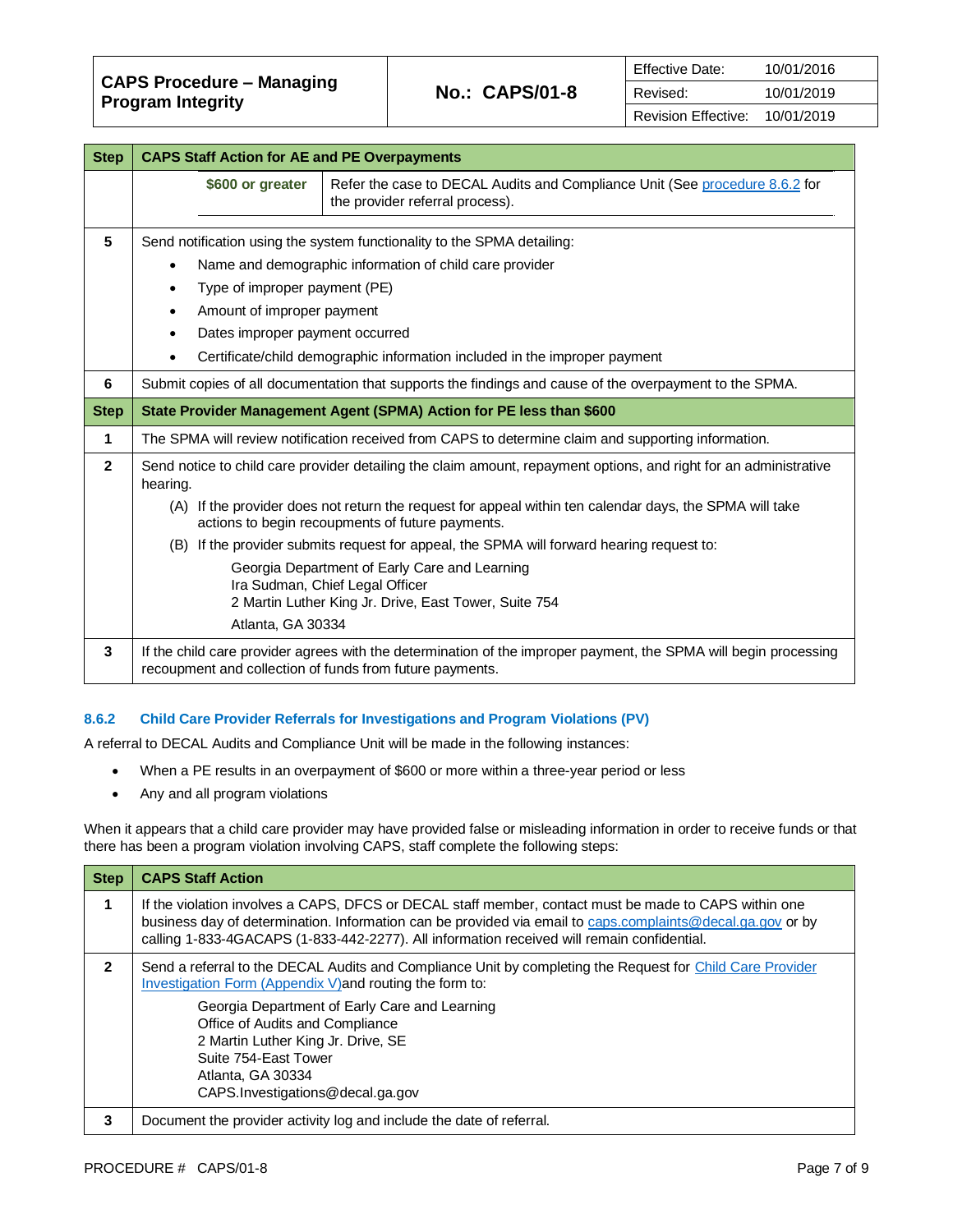| CAPS Procedure – Managing<br><b>Program Integrity</b> | <b>No.: CAPS/01-8</b> | Effective Date:     | 10/01/2016 |
|-------------------------------------------------------|-----------------------|---------------------|------------|
|                                                       |                       | Revised:            | 10/01/2019 |
|                                                       |                       | Revision Effective: | 10/01/2019 |

| <b>Step</b>    | <b>CAPS Staff Action for AE and PE Overpayments</b>      |                                                                                                                                                             |
|----------------|----------------------------------------------------------|-------------------------------------------------------------------------------------------------------------------------------------------------------------|
|                | \$600 or greater                                         | Refer the case to DECAL Audits and Compliance Unit (See procedure 8.6.2 for<br>the provider referral process).                                              |
| 5              |                                                          | Send notification using the system functionality to the SPMA detailing:                                                                                     |
|                |                                                          | Name and demographic information of child care provider                                                                                                     |
|                | Type of improper payment (PE)                            |                                                                                                                                                             |
|                | Amount of improper payment                               |                                                                                                                                                             |
|                | Dates improper payment occurred                          |                                                                                                                                                             |
|                |                                                          | Certificate/child demographic information included in the improper payment                                                                                  |
| 6              |                                                          | Submit copies of all documentation that supports the findings and cause of the overpayment to the SPMA.                                                     |
| <b>Step</b>    |                                                          | State Provider Management Agent (SPMA) Action for PE less than \$600                                                                                        |
| 1              |                                                          | The SPMA will review notification received from CAPS to determine claim and supporting information.                                                         |
| $\overline{2}$ | hearing.                                                 | Send notice to child care provider detailing the claim amount, repayment options, and right for an administrative                                           |
|                |                                                          | (A) If the provider does not return the request for appeal within ten calendar days, the SPMA will take<br>actions to begin recoupments of future payments. |
|                |                                                          | (B) If the provider submits request for appeal, the SPMA will forward hearing request to:                                                                   |
|                |                                                          | Georgia Department of Early Care and Learning                                                                                                               |
|                |                                                          | Ira Sudman, Chief Legal Officer<br>2 Martin Luther King Jr. Drive, East Tower, Suite 754                                                                    |
|                | Atlanta, GA 30334                                        |                                                                                                                                                             |
| 3              | recoupment and collection of funds from future payments. | If the child care provider agrees with the determination of the improper payment, the SPMA will begin processing                                            |

## **8.6.2 Child Care Provider Referrals for Investigations and Program Violations (PV)**

A referral to DECAL Audits and Compliance Unit will be made in the following instances:

- When a PE results in an overpayment of \$600 or more within a three-year period or less
- Any and all program violations

When it appears that a child care provider may have provided false or misleading information in order to receive funds or that there has been a program violation involving CAPS, staff complete the following steps:

| <b>Step</b>  | <b>CAPS Staff Action</b>                                                                                                                                                                                                                                                                                                                                                          |
|--------------|-----------------------------------------------------------------------------------------------------------------------------------------------------------------------------------------------------------------------------------------------------------------------------------------------------------------------------------------------------------------------------------|
|              | If the violation involves a CAPS, DFCS or DECAL staff member, contact must be made to CAPS within one<br>business day of determination. Information can be provided via email to caps.complaints@decal.ga.gov or by<br>calling 1-833-4GACAPS (1-833-442-2277). All information received will remain confidential.                                                                 |
| $\mathbf{2}$ | Send a referral to the DECAL Audits and Compliance Unit by completing the Request for Child Care Provider<br>Investigation Form (Appendix V) and routing the form to:<br>Georgia Department of Early Care and Learning<br>Office of Audits and Compliance<br>2 Martin Luther King Jr. Drive, SE<br>Suite 754-East Tower<br>Atlanta, GA 30334<br>CAPS. Investigations@decal.ga.gov |
| 3            | Document the provider activity log and include the date of referral.                                                                                                                                                                                                                                                                                                              |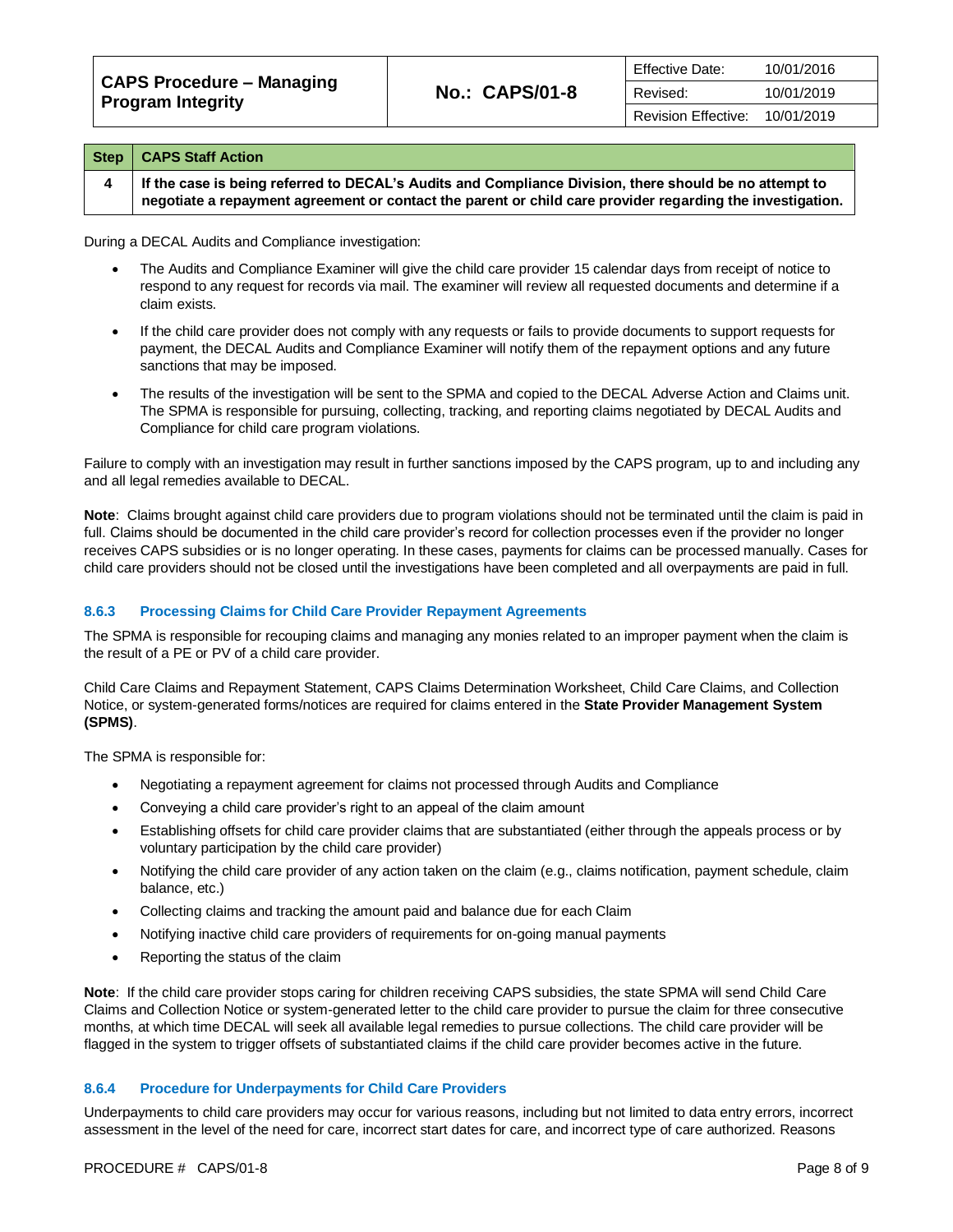| CAPS Procedure – Managing<br>Program Integrity |                       | Effective Date:            | 10/01/2016 |
|------------------------------------------------|-----------------------|----------------------------|------------|
|                                                | <b>No.: CAPS/01-8</b> | Revised:                   | 10/01/2019 |
|                                                |                       | <b>Revision Effective:</b> | 10/01/2019 |

| <b>Step</b> | <b>CAPS Staff Action</b>                                                                                                                                                                                            |
|-------------|---------------------------------------------------------------------------------------------------------------------------------------------------------------------------------------------------------------------|
|             | If the case is being referred to DECAL's Audits and Compliance Division, there should be no attempt to<br>negotiate a repayment agreement or contact the parent or child care provider regarding the investigation. |

During a DECAL Audits and Compliance investigation:

- The Audits and Compliance Examiner will give the child care provider 15 calendar days from receipt of notice to respond to any request for records via mail. The examiner will review all requested documents and determine if a claim exists.
- If the child care provider does not comply with any requests or fails to provide documents to support requests for payment, the DECAL Audits and Compliance Examiner will notify them of the repayment options and any future sanctions that may be imposed.
- The results of the investigation will be sent to the SPMA and copied to the DECAL Adverse Action and Claims unit. The SPMA is responsible for pursuing, collecting, tracking, and reporting claims negotiated by DECAL Audits and Compliance for child care program violations.

Failure to comply with an investigation may result in further sanctions imposed by the CAPS program, up to and including any and all legal remedies available to DECAL.

**Note**: Claims brought against child care providers due to program violations should not be terminated until the claim is paid in full. Claims should be documented in the child care provider's record for collection processes even if the provider no longer receives CAPS subsidies or is no longer operating. In these cases, payments for claims can be processed manually. Cases for child care providers should not be closed until the investigations have been completed and all overpayments are paid in full.

# **8.6.3 Processing Claims for Child Care Provider Repayment Agreements**

The SPMA is responsible for recouping claims and managing any monies related to an improper payment when the claim is the result of a PE or PV of a child care provider.

Child Care Claims and Repayment Statement, CAPS Claims Determination Worksheet, Child Care Claims, and Collection Notice, or system-generated forms/notices are required for claims entered in the **State Provider Management System (SPMS)**.

The SPMA is responsible for:

- Negotiating a repayment agreement for claims not processed through Audits and Compliance
- Conveying a child care provider's right to an appeal of the claim amount
- Establishing offsets for child care provider claims that are substantiated (either through the appeals process or by voluntary participation by the child care provider)
- Notifying the child care provider of any action taken on the claim (e.g., claims notification, payment schedule, claim balance, etc.)
- Collecting claims and tracking the amount paid and balance due for each Claim
- Notifying inactive child care providers of requirements for on-going manual payments
- Reporting the status of the claim

**Note**: If the child care provider stops caring for children receiving CAPS subsidies, the state SPMA will send Child Care Claims and Collection Notice or system-generated letter to the child care provider to pursue the claim for three consecutive months, at which time DECAL will seek all available legal remedies to pursue collections. The child care provider will be flagged in the system to trigger offsets of substantiated claims if the child care provider becomes active in the future.

# **8.6.4 Procedure for Underpayments for Child Care Providers**

Underpayments to child care providers may occur for various reasons, including but not limited to data entry errors, incorrect assessment in the level of the need for care, incorrect start dates for care, and incorrect type of care authorized. Reasons